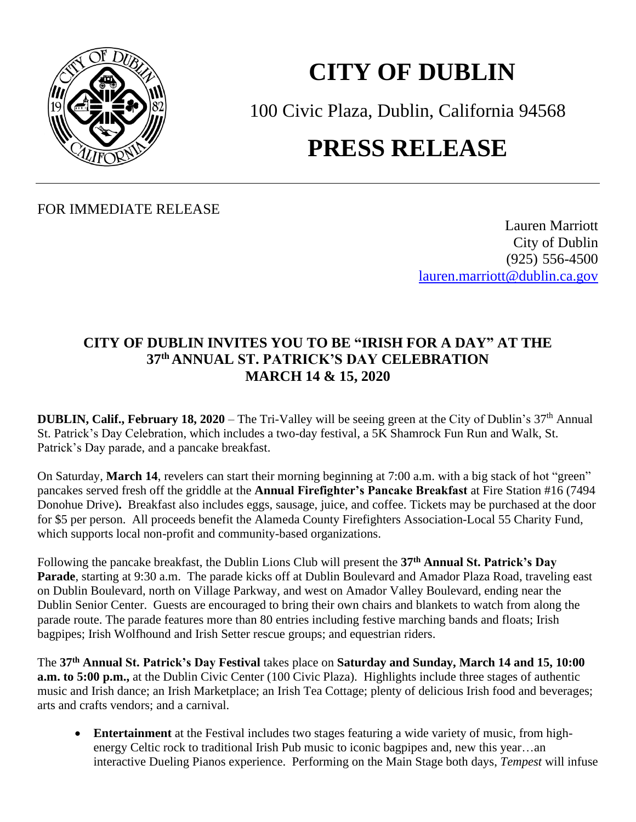

## **CITY OF DUBLIN**

100 Civic Plaza, Dublin, California 94568 **PRESS RELEASE**

FOR IMMEDIATE RELEASE

Lauren Marriott City of Dublin (925) 556-4500 [lauren.marriott@dublin.ca.gov](mailto:lauren.marriott@dublin.ca.gov)

## **CITY OF DUBLIN INVITES YOU TO BE "IRISH FOR A DAY" AT THE 37 th ANNUAL ST. PATRICK'S DAY CELEBRATION MARCH 14 & 15, 2020**

**DUBLIN, Calif., February 18, 2020** – The Tri-Valley will be seeing green at the City of Dublin's 37<sup>th</sup> Annual St. Patrick's Day Celebration, which includes a two-day festival, a 5K Shamrock Fun Run and Walk, St. Patrick's Day parade, and a pancake breakfast.

On Saturday, **March 14**, revelers can start their morning beginning at 7:00 a.m. with a big stack of hot "green" pancakes served fresh off the griddle at the **Annual Firefighter's Pancake Breakfast** at Fire Station #16 (7494 Donohue Drive)**.** Breakfast also includes eggs, sausage, juice, and coffee. Tickets may be purchased at the door for \$5 per person. All proceeds benefit the Alameda County Firefighters Association-Local 55 Charity Fund, which supports local non-profit and community-based organizations.

Following the pancake breakfast, the Dublin Lions Club will present the **37 th Annual St. Patrick's Day Parade**, starting at 9:30 a.m. The parade kicks off at Dublin Boulevard and Amador Plaza Road, traveling east on Dublin Boulevard, north on Village Parkway, and west on Amador Valley Boulevard, ending near the Dublin Senior Center. Guests are encouraged to bring their own chairs and blankets to watch from along the parade route. The parade features more than 80 entries including festive marching bands and floats; Irish bagpipes; Irish Wolfhound and Irish Setter rescue groups; and equestrian riders.

The **37 th Annual St. Patrick's Day Festival** takes place on **Saturday and Sunday, March 14 and 15, 10:00 a.m. to 5:00 p.m.,** at the Dublin Civic Center (100 Civic Plaza). Highlights include three stages of authentic music and Irish dance; an Irish Marketplace; an Irish Tea Cottage; plenty of delicious Irish food and beverages; arts and crafts vendors; and a carnival.

• **Entertainment** at the Festival includes two stages featuring a wide variety of music, from highenergy Celtic rock to traditional Irish Pub music to iconic bagpipes and, new this year…an interactive Dueling Pianos experience. Performing on the Main Stage both days, *Tempest* will infuse